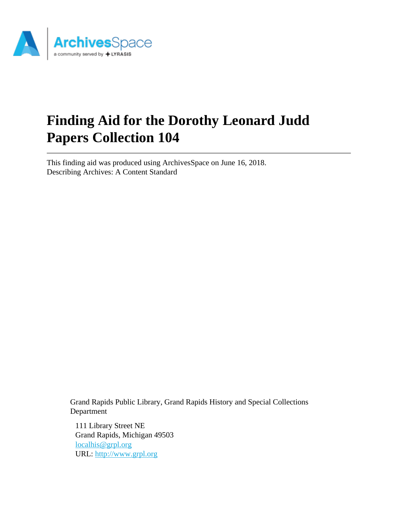

# **Finding Aid for the Dorothy Leonard Judd Papers Collection 104**

This finding aid was produced using ArchivesSpace on June 16, 2018. Describing Archives: A Content Standard

> Grand Rapids Public Library, Grand Rapids History and Special Collections Department

111 Library Street NE Grand Rapids, Michigan 49503 [localhis@grpl.org](mailto:localhis@grpl.org) URL:<http://www.grpl.org>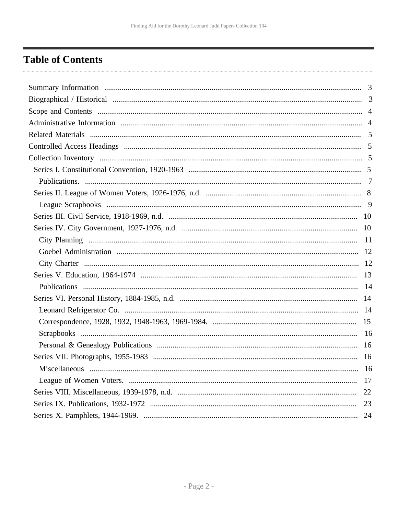# <span id="page-1-0"></span>**Table of Contents**

| 16 |    |
|----|----|
|    | 17 |
|    | 22 |
|    | 23 |
|    | 24 |
|    |    |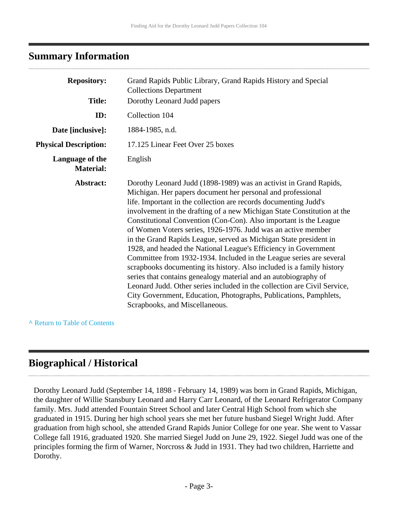### <span id="page-2-0"></span>**Summary Information**

| <b>Repository:</b>                  | Grand Rapids Public Library, Grand Rapids History and Special<br><b>Collections Department</b>                                                                                                                                                                                                                                                                                                                                                                                                                                                                                                                                                                                                                                                                                                                                                                                                                                                                     |
|-------------------------------------|--------------------------------------------------------------------------------------------------------------------------------------------------------------------------------------------------------------------------------------------------------------------------------------------------------------------------------------------------------------------------------------------------------------------------------------------------------------------------------------------------------------------------------------------------------------------------------------------------------------------------------------------------------------------------------------------------------------------------------------------------------------------------------------------------------------------------------------------------------------------------------------------------------------------------------------------------------------------|
| <b>Title:</b>                       | Dorothy Leonard Judd papers                                                                                                                                                                                                                                                                                                                                                                                                                                                                                                                                                                                                                                                                                                                                                                                                                                                                                                                                        |
| ID:                                 | Collection 104                                                                                                                                                                                                                                                                                                                                                                                                                                                                                                                                                                                                                                                                                                                                                                                                                                                                                                                                                     |
| Date [inclusive]:                   | 1884-1985, n.d.                                                                                                                                                                                                                                                                                                                                                                                                                                                                                                                                                                                                                                                                                                                                                                                                                                                                                                                                                    |
| <b>Physical Description:</b>        | 17.125 Linear Feet Over 25 boxes                                                                                                                                                                                                                                                                                                                                                                                                                                                                                                                                                                                                                                                                                                                                                                                                                                                                                                                                   |
| Language of the<br><b>Material:</b> | English                                                                                                                                                                                                                                                                                                                                                                                                                                                                                                                                                                                                                                                                                                                                                                                                                                                                                                                                                            |
| Abstract:                           | Dorothy Leonard Judd (1898-1989) was an activist in Grand Rapids,<br>Michigan. Her papers document her personal and professional<br>life. Important in the collection are records documenting Judd's<br>involvement in the drafting of a new Michigan State Constitution at the<br>Constitutional Convention (Con-Con). Also important is the League<br>of Women Voters series, 1926-1976. Judd was an active member<br>in the Grand Rapids League, served as Michigan State president in<br>1928, and headed the National League's Efficiency in Government<br>Committee from 1932-1934. Included in the League series are several<br>scrapbooks documenting its history. Also included is a family history<br>series that contains genealogy material and an autobiography of<br>Leonard Judd. Other series included in the collection are Civil Service,<br>City Government, Education, Photographs, Publications, Pamphlets,<br>Scrapbooks, and Miscellaneous. |

**^** [Return to Table of Contents](#page-1-0)

# <span id="page-2-1"></span>**Biographical / Historical**

Dorothy Leonard Judd (September 14, 1898 - February 14, 1989) was born in Grand Rapids, Michigan, the daughter of Willie Stansbury Leonard and Harry Carr Leonard, of the Leonard Refrigerator Company family. Mrs. Judd attended Fountain Street School and later Central High School from which she graduated in 1915. During her high school years she met her future husband Siegel Wright Judd. After graduation from high school, she attended Grand Rapids Junior College for one year. She went to Vassar College fall 1916, graduated 1920. She married Siegel Judd on June 29, 1922. Siegel Judd was one of the principles forming the firm of Warner, Norcross & Judd in 1931. They had two children, Harriette and Dorothy.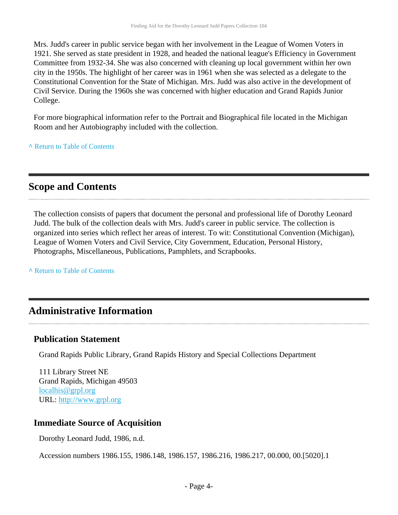Mrs. Judd's career in public service began with her involvement in the League of Women Voters in 1921. She served as state president in 1928, and headed the national league's Efficiency in Government Committee from 1932-34. She was also concerned with cleaning up local government within her own city in the 1950s. The highlight of her career was in 1961 when she was selected as a delegate to the Constitutional Convention for the State of Michigan. Mrs. Judd was also active in the development of Civil Service. During the 1960s she was concerned with higher education and Grand Rapids Junior College.

For more biographical information refer to the Portrait and Biographical file located in the Michigan Room and her Autobiography included with the collection.

**^** [Return to Table of Contents](#page-1-0)

### <span id="page-3-0"></span>**Scope and Contents**

The collection consists of papers that document the personal and professional life of Dorothy Leonard Judd. The bulk of the collection deals with Mrs. Judd's career in public service. The collection is organized into series which reflect her areas of interest. To wit: Constitutional Convention (Michigan), League of Women Voters and Civil Service, City Government, Education, Personal History, Photographs, Miscellaneous, Publications, Pamphlets, and Scrapbooks.

**^** [Return to Table of Contents](#page-1-0)

### <span id="page-3-1"></span>**Administrative Information**

### **Publication Statement**

Grand Rapids Public Library, Grand Rapids History and Special Collections Department

111 Library Street NE Grand Rapids, Michigan 49503 [localhis@grpl.org](mailto:localhis@grpl.org) URL:<http://www.grpl.org>

### **Immediate Source of Acquisition**

Dorothy Leonard Judd, 1986, n.d.

Accession numbers 1986.155, 1986.148, 1986.157, 1986.216, 1986.217, 00.000, 00.[5020].1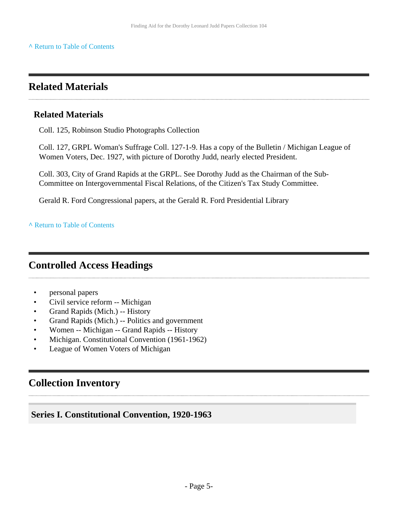## <span id="page-4-0"></span>**Related Materials**

### **Related Materials**

Coll. 125, Robinson Studio Photographs Collection

Coll. 127, GRPL Woman's Suffrage Coll. 127-1-9. Has a copy of the Bulletin / Michigan League of Women Voters, Dec. 1927, with picture of Dorothy Judd, nearly elected President.

Coll. 303, City of Grand Rapids at the GRPL. See Dorothy Judd as the Chairman of the Sub-Committee on Intergovernmental Fiscal Relations, of the Citizen's Tax Study Committee.

Gerald R. Ford Congressional papers, at the Gerald R. Ford Presidential Library

**^** [Return to Table of Contents](#page-1-0)

# <span id="page-4-1"></span>**Controlled Access Headings**

- personal papers
- Civil service reform -- Michigan
- Grand Rapids (Mich.) -- History
- Grand Rapids (Mich.) -- Politics and government
- Women -- Michigan -- Grand Rapids -- History
- Michigan. Constitutional Convention (1961-1962)
- League of Women Voters of Michigan

# <span id="page-4-2"></span>**Collection Inventory**

### <span id="page-4-3"></span>**Series I. Constitutional Convention, 1920-1963**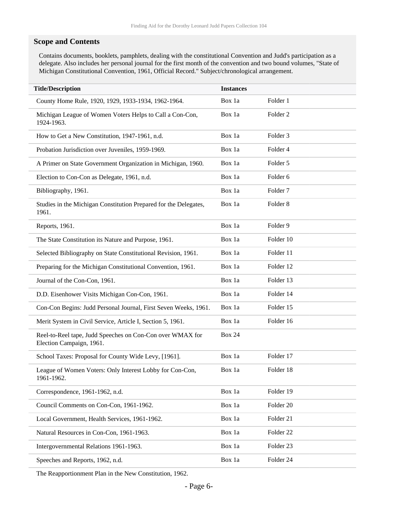#### **Scope and Contents**

Contains documents, booklets, pamphlets, dealing with the constitutional Convention and Judd's participation as a delegate. Also includes her personal journal for the first month of the convention and two bound volumes, "State of Michigan Constitutional Convention, 1961, Official Record." Subject/chronological arrangement.

| <b>Title/Description</b>                                                              | <b>Instances</b> |                     |
|---------------------------------------------------------------------------------------|------------------|---------------------|
| County Home Rule, 1920, 1929, 1933-1934, 1962-1964.                                   | Box 1a           | Folder 1            |
| Michigan League of Women Voters Helps to Call a Con-Con,<br>1924-1963.                | Box 1a           | Folder <sub>2</sub> |
| How to Get a New Constitution, 1947-1961, n.d.                                        | Box 1a           | Folder 3            |
| Probation Jurisdiction over Juveniles, 1959-1969.                                     | Box 1a           | Folder 4            |
| A Primer on State Government Organization in Michigan, 1960.                          | Box 1a           | Folder 5            |
| Election to Con-Con as Delegate, 1961, n.d.                                           | Box 1a           | Folder 6            |
| Bibliography, 1961.                                                                   | Box 1a           | Folder <sub>7</sub> |
| Studies in the Michigan Constitution Prepared for the Delegates,<br>1961.             | Box 1a           | Folder <sub>8</sub> |
| Reports, 1961.                                                                        | Box 1a           | Folder 9            |
| The State Constitution its Nature and Purpose, 1961.                                  | Box 1a           | Folder 10           |
| Selected Bibliography on State Constitutional Revision, 1961.                         | Box 1a           | Folder 11           |
| Preparing for the Michigan Constitutional Convention, 1961.                           | Box 1a           | Folder 12           |
| Journal of the Con-Con, 1961.                                                         | Box 1a           | Folder 13           |
| D.D. Eisenhower Visits Michigan Con-Con, 1961.                                        | Box 1a           | Folder 14           |
| Con-Con Begins: Judd Personal Journal, First Seven Weeks, 1961.                       | Box 1a           | Folder 15           |
| Merit System in Civil Service, Article I, Section 5, 1961.                            | Box 1a           | Folder 16           |
| Reel-to-Reel tape, Judd Speeches on Con-Con over WMAX for<br>Election Campaign, 1961. | <b>Box 24</b>    |                     |
| School Taxes: Proposal for County Wide Levy, [1961].                                  | Box 1a           | Folder 17           |
| League of Women Voters: Only Interest Lobby for Con-Con,<br>1961-1962.                | Box 1a           | Folder 18           |
| Correspondence, 1961-1962, n.d.                                                       | Box 1a           | Folder 19           |
| Council Comments on Con-Con, 1961-1962.                                               | Box 1a           | Folder 20           |
| Local Government, Health Services, 1961-1962.                                         | Box 1a           | Folder 21           |
| Natural Resources in Con-Con, 1961-1963.                                              | Box 1a           | Folder 22           |
| Intergovernmental Relations 1961-1963.                                                | Box 1a           | Folder 23           |
| Speeches and Reports, 1962, n.d.                                                      | Box 1a           | Folder 24           |

The Reapportionment Plan in the New Constitution, 1962.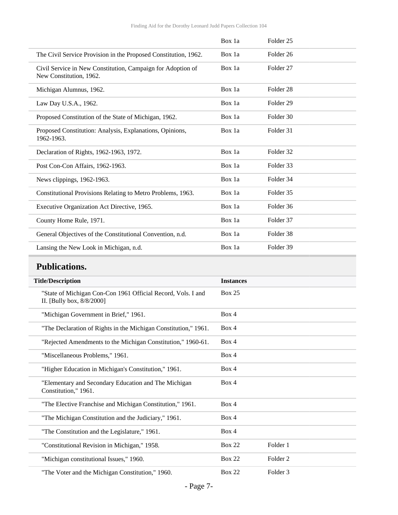|                                                                                        | Box 1a | Folder <sub>25</sub> |
|----------------------------------------------------------------------------------------|--------|----------------------|
| The Civil Service Provision in the Proposed Constitution, 1962.                        | Box 1a | Folder <sub>26</sub> |
| Civil Service in New Constitution, Campaign for Adoption of<br>New Constitution, 1962. | Box 1a | Folder <sub>27</sub> |
| Michigan Alumnus, 1962.                                                                | Box 1a | Folder <sub>28</sub> |
| Law Day U.S.A., 1962.                                                                  | Box 1a | Folder <sub>29</sub> |
| Proposed Constitution of the State of Michigan, 1962.                                  | Box 1a | Folder 30            |
| Proposed Constitution: Analysis, Explanations, Opinions,<br>1962-1963.                 | Box 1a | Folder 31            |
| Declaration of Rights, 1962-1963, 1972.                                                | Box 1a | Folder 32            |
| Post Con-Con Affairs, 1962-1963.                                                       | Box 1a | Folder 33            |
| News clippings, 1962-1963.                                                             | Box 1a | Folder 34            |
| Constitutional Provisions Relating to Metro Problems, 1963.                            | Box 1a | Folder 35            |
| Executive Organization Act Directive, 1965.                                            | Box 1a | Folder 36            |
| County Home Rule, 1971.                                                                | Box 1a | Folder 37            |
| General Objectives of the Constitutional Convention, n.d.                              | Box 1a | Folder 38            |
| Lansing the New Look in Michigan, n.d.                                                 | Box 1a | Folder 39            |

# <span id="page-6-0"></span>**Publications.**

| <b>Title/Description</b>                                                                  | <b>Instances</b> |                     |
|-------------------------------------------------------------------------------------------|------------------|---------------------|
| "State of Michigan Con-Con 1961 Official Record, Vols. I and<br>II. [Bully box, 8/8/2000] | Box 25           |                     |
| "Michigan Government in Brief," 1961.                                                     | Box 4            |                     |
| "The Declaration of Rights in the Michigan Constitution," 1961.                           | Box 4            |                     |
| "Rejected Amendments to the Michigan Constitution," 1960-61.                              | Box 4            |                     |
| "Miscellaneous Problems," 1961.                                                           | Box 4            |                     |
| "Higher Education in Michigan's Constitution," 1961.                                      | Box 4            |                     |
| "Elementary and Secondary Education and The Michigan<br>Constitution," 1961.              | Box 4            |                     |
| "The Elective Franchise and Michigan Constitution," 1961.                                 | Box 4            |                     |
| "The Michigan Constitution and the Judiciary," 1961.                                      | Box 4            |                     |
| "The Constitution and the Legislature," 1961.                                             | Box 4            |                     |
| "Constitutional Revision in Michigan," 1958.                                              | <b>Box 22</b>    | Folder 1            |
| "Michigan constitutional Issues," 1960.                                                   | <b>Box 22</b>    | Folder <sub>2</sub> |
| "The Voter and the Michigan Constitution," 1960.                                          | <b>Box 22</b>    | Folder <sub>3</sub> |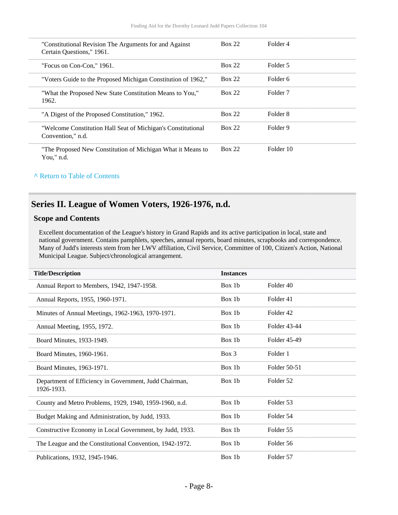| "Constitutional Revision The Arguments for and Against<br>Certain Ouestions," 1961. | <b>Box 22</b> | Folder 4  |
|-------------------------------------------------------------------------------------|---------------|-----------|
| "Focus on Con-Con," 1961.                                                           | <b>Box 22</b> | Folder 5  |
| "Voters Guide to the Proposed Michigan Constitution of 1962,"                       | <b>Box 22</b> | Folder 6  |
| "What the Proposed New State Constitution Means to You,"<br>1962.                   | <b>Box 22</b> | Folder 7  |
| "A Digest of the Proposed Constitution," 1962.                                      | <b>Box 22</b> | Folder 8  |
| "Welcome Constitution Hall Seat of Michigan's Constitutional<br>Convention," n.d.   | <b>Box 22</b> | Folder 9  |
| "The Proposed New Constitution of Michigan What it Means to<br>You," $n.d.$         | <b>Box 22</b> | Folder 10 |

### <span id="page-7-0"></span>**Series II. League of Women Voters, 1926-1976, n.d.**

#### **Scope and Contents**

Excellent documentation of the League's history in Grand Rapids and its active participation in local, state and national government. Contains pamphlets, speeches, annual reports, board minutes, scrapbooks and correspondence. Many of Judd's interests stem from her LWV affiliation, Civil Service, Committee of 100, Citizen's Action, National Municipal League. Subject/chronological arrangement.

| <b>Title/Description</b>                                             | <b>Instances</b> |              |
|----------------------------------------------------------------------|------------------|--------------|
| Annual Report to Members, 1942, 1947-1958.                           | Box 1b           | Folder 40    |
| Annual Reports, 1955, 1960-1971.                                     | Box 1b           | Folder 41    |
| Minutes of Annual Meetings, 1962-1963, 1970-1971.                    | Box 1b           | Folder 42    |
| Annual Meeting, 1955, 1972.                                          | Box 1b           | Folder 43-44 |
| Board Minutes, 1933-1949.                                            | Box 1b           | Folder 45-49 |
| Board Minutes, 1960-1961.                                            | Box 3            | Folder 1     |
| Board Minutes, 1963-1971.                                            | Box 1b           | Folder 50-51 |
| Department of Efficiency in Government, Judd Chairman,<br>1926-1933. | Box 1b           | Folder 52    |
| County and Metro Problems, 1929, 1940, 1959-1960, n.d.               | Box 1b           | Folder 53    |
| Budget Making and Administration, by Judd, 1933.                     | Box 1b           | Folder 54    |
| Constructive Economy in Local Government, by Judd, 1933.             | Box 1b           | Folder 55    |
| The League and the Constitutional Convention, 1942-1972.             | Box 1b           | Folder 56    |
| Publications, 1932, 1945-1946.                                       | Box 1b           | Folder 57    |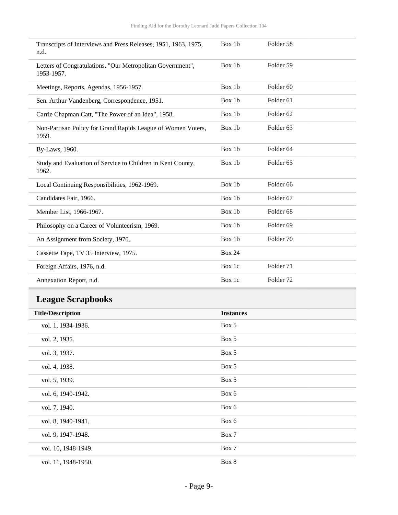| Transcripts of Interviews and Press Releases, 1951, 1963, 1975,<br>n.d.  | Box 1b           | Folder 58            |
|--------------------------------------------------------------------------|------------------|----------------------|
| Letters of Congratulations, "Our Metropolitan Government",<br>1953-1957. | Box 1b           | Folder 59            |
| Meetings, Reports, Agendas, 1956-1957.                                   | Box 1b           | Folder <sub>60</sub> |
| Sen. Arthur Vandenberg, Correspondence, 1951.                            | Box 1b           | Folder 61            |
| Carrie Chapman Catt, "The Power of an Idea", 1958.                       | Box 1b           | Folder <sub>62</sub> |
| Non-Partisan Policy for Grand Rapids League of Women Voters,<br>1959.    | Box 1b           | Folder <sub>63</sub> |
| By-Laws, 1960.                                                           | Box 1b           | Folder 64            |
| Study and Evaluation of Service to Children in Kent County,<br>1962.     | Box 1b           | Folder 65            |
| Local Continuing Responsibilities, 1962-1969.                            | Box 1b           | Folder 66            |
| Candidates Fair, 1966.                                                   | Box 1b           | Folder 67            |
| Member List, 1966-1967.                                                  | Box 1b           | Folder <sub>68</sub> |
| Philosophy on a Career of Volunteerism, 1969.                            | Box 1b           | Folder <sub>69</sub> |
| An Assignment from Society, 1970.                                        | Box 1b           | Folder 70            |
| Cassette Tape, TV 35 Interview, 1975.                                    | <b>Box 24</b>    |                      |
| Foreign Affairs, 1976, n.d.                                              | Box 1c           | Folder 71            |
| Annexation Report, n.d.                                                  | Box 1c           | Folder <sub>72</sub> |
| <b>League Scrapbooks</b>                                                 |                  |                      |
| <b>Title/Description</b>                                                 | <b>Instances</b> |                      |
| vol. 1, 1934-1936.                                                       | Box 5            |                      |
| vol. 2, 1935.                                                            | Box 5            |                      |
| vol. 3, 1937.                                                            | Box 5            |                      |
| vol. 4, 1938.                                                            | Box 5            |                      |
| vol. 5, 1939.                                                            | Box 5            |                      |
| vol. 6, 1940-1942.                                                       | Box 6            |                      |
| vol. 7, 1940.                                                            | Box 6            |                      |
| vol. 8, 1940-1941.                                                       | Box 6            |                      |
| vol. 9, 1947-1948.                                                       | Box 7            |                      |
| vol. 10, 1948-1949.                                                      | Box 7            |                      |
| vol. 11, 1948-1950.                                                      | Box 8            |                      |

<span id="page-8-0"></span>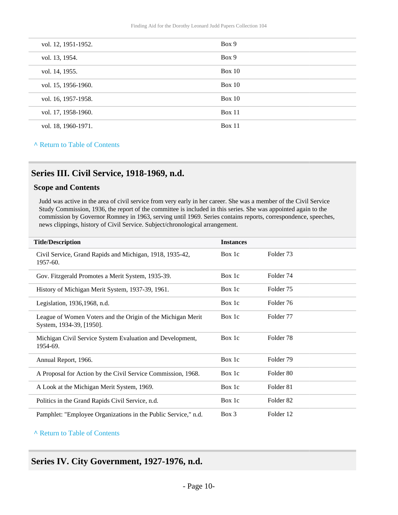| vol. 12, 1951-1952. | Box 9         |
|---------------------|---------------|
| vol. 13, 1954.      | Box 9         |
| vol. 14, 1955.      | <b>Box 10</b> |
| vol. 15, 1956-1960. | Box 10        |
| vol. 16, 1957-1958. | <b>Box 10</b> |
| vol. 17, 1958-1960. | Box 11        |
| vol. 18, 1960-1971. | Box 11        |

### <span id="page-9-0"></span>**Series III. Civil Service, 1918-1969, n.d.**

#### **Scope and Contents**

Judd was active in the area of civil service from very early in her career. She was a member of the Civil Service Study Commission, 1936, the report of the committee is included in this series. She was appointed again to the commission by Governor Romney in 1963, serving until 1969. Series contains reports, correspondence, speeches, news clippings, history of Civil Service. Subject/chronological arrangement.

| <b>Title/Description</b>                                                                | <b>Instances</b> |                      |
|-----------------------------------------------------------------------------------------|------------------|----------------------|
| Civil Service, Grand Rapids and Michigan, 1918, 1935-42,<br>1957-60.                    | Box 1c           | Folder 73            |
| Gov. Fitzgerald Promotes a Merit System, 1935-39.                                       | Box 1c           | Folder 74            |
| History of Michigan Merit System, 1937-39, 1961.                                        | Box 1c           | Folder 75            |
| Legislation, 1936, 1968, n.d.                                                           | Box 1c           | Folder 76            |
| League of Women Voters and the Origin of the Michigan Merit<br>System, 1934-39, [1950]. | Box 1c           | Folder 77            |
| Michigan Civil Service System Evaluation and Development,<br>1954-69.                   | Box 1c           | Folder 78            |
| Annual Report, 1966.                                                                    | Box 1c           | Folder 79            |
| A Proposal for Action by the Civil Service Commission, 1968.                            | Box 1c           | Folder 80            |
| A Look at the Michigan Merit System, 1969.                                              | Box 1c           | Folder 81            |
| Politics in the Grand Rapids Civil Service, n.d.                                        | Box 1c           | Folder <sub>82</sub> |
| Pamphlet: "Employee Organizations in the Public Service," n.d.                          | $Box$ 3          | Folder 12            |

#### **^** [Return to Table of Contents](#page-1-0)

### <span id="page-9-1"></span>**Series IV. City Government, 1927-1976, n.d.**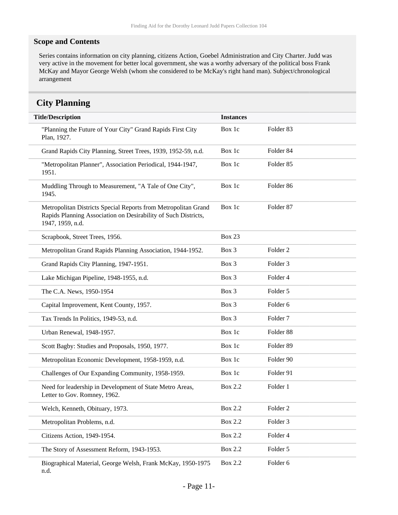#### **Scope and Contents**

Series contains information on city planning, citizens Action, Goebel Administration and City Charter. Judd was very active in the movement for better local government, she was a worthy adversary of the political boss Frank McKay and Mayor George Welsh (whom she considered to be McKay's right hand man). Subject/chronological arrangement

### <span id="page-10-0"></span>**City Planning**

| <b>Title/Description</b>                                                                                                                             | <b>Instances</b> |                     |
|------------------------------------------------------------------------------------------------------------------------------------------------------|------------------|---------------------|
| "Planning the Future of Your City" Grand Rapids First City<br>Plan, 1927.                                                                            | Box 1c           | Folder 83           |
| Grand Rapids City Planning, Street Trees, 1939, 1952-59, n.d.                                                                                        | Box 1c           | Folder 84           |
| "Metropolitan Planner", Association Periodical, 1944-1947,<br>1951.                                                                                  | Box 1c           | Folder 85           |
| Muddling Through to Measurement, "A Tale of One City",<br>1945.                                                                                      | Box 1c           | Folder 86           |
| Metropolitan Districts Special Reports from Metropolitan Grand<br>Rapids Planning Association on Desirability of Such Districts,<br>1947, 1959, n.d. | Box 1c           | Folder 87           |
| Scrapbook, Street Trees, 1956.                                                                                                                       | <b>Box 23</b>    |                     |
| Metropolitan Grand Rapids Planning Association, 1944-1952.                                                                                           | Box 3            | Folder <sub>2</sub> |
| Grand Rapids City Planning, 1947-1951.                                                                                                               | Box 3            | Folder <sub>3</sub> |
| Lake Michigan Pipeline, 1948-1955, n.d.                                                                                                              | Box 3            | Folder <sub>4</sub> |
| The C.A. News, 1950-1954                                                                                                                             | Box 3            | Folder 5            |
| Capital Improvement, Kent County, 1957.                                                                                                              | Box 3            | Folder <sub>6</sub> |
| Tax Trends In Politics, 1949-53, n.d.                                                                                                                | Box 3            | Folder <sub>7</sub> |
| Urban Renewal, 1948-1957.                                                                                                                            | Box 1c           | Folder 88           |
| Scott Bagby: Studies and Proposals, 1950, 1977.                                                                                                      | Box 1c           | Folder 89           |
| Metropolitan Economic Development, 1958-1959, n.d.                                                                                                   | Box 1c           | Folder 90           |
| Challenges of Our Expanding Community, 1958-1959.                                                                                                    | Box 1c           | Folder 91           |
| Need for leadership in Development of State Metro Areas,<br>Letter to Gov. Romney, 1962.                                                             | <b>Box 2.2</b>   | Folder 1            |
| Welch, Kenneth, Obituary, 1973.                                                                                                                      | <b>Box 2.2</b>   | Folder <sub>2</sub> |
| Metropolitan Problems, n.d.                                                                                                                          | <b>Box 2.2</b>   | Folder 3            |
| Citizens Action, 1949-1954.                                                                                                                          | <b>Box 2.2</b>   | Folder 4            |
| The Story of Assessment Reform, 1943-1953.                                                                                                           | <b>Box 2.2</b>   | Folder 5            |
| Biographical Material, George Welsh, Frank McKay, 1950-1975<br>n.d.                                                                                  | <b>Box 2.2</b>   | Folder 6            |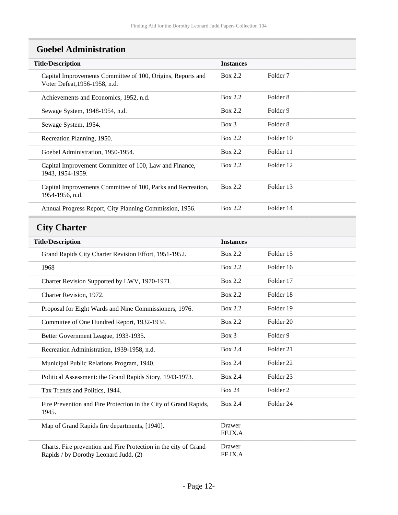# <span id="page-11-0"></span>**Goebel Administration**

<span id="page-11-1"></span>

| <b>Title/Description</b>                                                                                  | <b>Instances</b>  |                      |
|-----------------------------------------------------------------------------------------------------------|-------------------|----------------------|
| Capital Improvements Committee of 100, Origins, Reports and<br>Voter Defeat, 1956-1958, n.d.              | Box 2.2           | Folder <sub>7</sub>  |
| Achievements and Economics, 1952, n.d.                                                                    | Box 2.2           | Folder <sub>8</sub>  |
| Sewage System, 1948-1954, n.d.                                                                            | <b>Box 2.2</b>    | Folder 9             |
| Sewage System, 1954.                                                                                      | Box 3             | Folder <sub>8</sub>  |
| Recreation Planning, 1950.                                                                                | <b>Box 2.2</b>    | Folder 10            |
| Goebel Administration, 1950-1954.                                                                         | Box 2.2           | Folder 11            |
| Capital Improvement Committee of 100, Law and Finance,<br>1943, 1954-1959.                                | Box 2.2           | Folder 12            |
| Capital Improvements Committee of 100, Parks and Recreation,<br>1954-1956, n.d.                           | Box 2.2           | Folder 13            |
| Annual Progress Report, City Planning Commission, 1956.                                                   | <b>Box 2.2</b>    | Folder 14            |
| <b>City Charter</b>                                                                                       |                   |                      |
| <b>Title/Description</b>                                                                                  | <b>Instances</b>  |                      |
| Grand Rapids City Charter Revision Effort, 1951-1952.                                                     | <b>Box 2.2</b>    | Folder 15            |
| 1968                                                                                                      | <b>Box 2.2</b>    | Folder 16            |
| Charter Revision Supported by LWV, 1970-1971.                                                             | <b>Box 2.2</b>    | Folder 17            |
| Charter Revision, 1972.                                                                                   | <b>Box 2.2</b>    | Folder 18            |
| Proposal for Eight Wards and Nine Commissioners, 1976.                                                    | Box 2.2           | Folder 19            |
| Committee of One Hundred Report, 1932-1934.                                                               | <b>Box 2.2</b>    | Folder 20            |
| Better Government League, 1933-1935.                                                                      | Box 3             | Folder 9             |
| Recreation Administration, 1939-1958, n.d.                                                                | Box 2.4           | Folder 21            |
| Municipal Public Relations Program, 1940.                                                                 | <b>Box 2.4</b>    | Folder <sub>22</sub> |
| Political Assessment: the Grand Rapids Story, 1943-1973.                                                  | <b>Box 2.4</b>    | Folder 23            |
| Tax Trends and Politics, 1944.                                                                            | <b>Box 24</b>     | Folder <sub>2</sub>  |
| Fire Prevention and Fire Protection in the City of Grand Rapids,<br>1945.                                 | <b>Box 2.4</b>    | Folder 24            |
| Map of Grand Rapids fire departments, [1940].                                                             | Drawer<br>FF.IX.A |                      |
| Charts. Fire prevention and Fire Protection in the city of Grand<br>Rapids / by Dorothy Leonard Judd. (2) | Drawer<br>FF.IX.A |                      |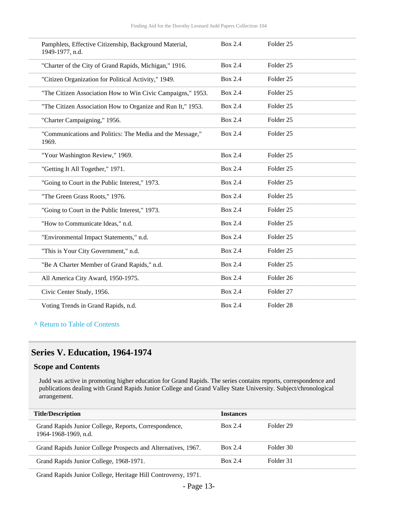| Pamphlets, Effective Citizenship, Background Material,<br>1949-1977, n.d. | Box 2.4        | Folder <sub>25</sub> |
|---------------------------------------------------------------------------|----------------|----------------------|
| "Charter of the City of Grand Rapids, Michigan," 1916.                    | <b>Box 2.4</b> | Folder <sub>25</sub> |
| "Citizen Organization for Political Activity," 1949.                      | Box 2.4        | Folder <sub>25</sub> |
| "The Citizen Association How to Win Civic Campaigns," 1953.               | Box 2.4        | Folder <sub>25</sub> |
| "The Citizen Association How to Organize and Run It," 1953.               | Box 2.4        | Folder <sub>25</sub> |
| "Charter Campaigning," 1956.                                              | <b>Box 2.4</b> | Folder <sub>25</sub> |
| "Communications and Politics: The Media and the Message,"<br>1969.        | <b>Box 2.4</b> | Folder <sub>25</sub> |
| "Your Washington Review," 1969.                                           | Box 2.4        | Folder <sub>25</sub> |
| "Getting It All Together," 1971.                                          | <b>Box 2.4</b> | Folder <sub>25</sub> |
| "Going to Court in the Public Interest," 1973.                            | <b>Box 2.4</b> | Folder <sub>25</sub> |
| "The Green Grass Roots," 1976.                                            | Box 2.4        | Folder <sub>25</sub> |
| "Going to Court in the Public Interest," 1973.                            | Box 2.4        | Folder <sub>25</sub> |
| "How to Communicate Ideas," n.d.                                          | <b>Box 2.4</b> | Folder <sub>25</sub> |
| "Environmental Impact Statements," n.d.                                   | <b>Box 2.4</b> | Folder <sub>25</sub> |
| "This is Your City Government," n.d.                                      | <b>Box 2.4</b> | Folder <sub>25</sub> |
| "Be A Charter Member of Grand Rapids," n.d.                               | <b>Box 2.4</b> | Folder <sub>25</sub> |
| All America City Award, 1950-1975.                                        | <b>Box 2.4</b> | Folder 26            |
| Civic Center Study, 1956.                                                 | <b>Box 2.4</b> | Folder 27            |
| Voting Trends in Grand Rapids, n.d.                                       | <b>Box 2.4</b> | Folder 28            |

### <span id="page-12-0"></span>**Series V. Education, 1964-1974**

#### **Scope and Contents**

Judd was active in promoting higher education for Grand Rapids. The series contains reports, correspondence and publications dealing with Grand Rapids Junior College and Grand Valley State University. Subject/chronological arrangement.

| <b>Title/Description</b>                                                      | <b>Instances</b> |           |
|-------------------------------------------------------------------------------|------------------|-----------|
| Grand Rapids Junior College, Reports, Correspondence,<br>1964-1968-1969, n.d. | <b>Box 2.4</b>   | Folder 29 |
| Grand Rapids Junior College Prospects and Alternatives, 1967.                 | <b>Box 2.4</b>   | Folder 30 |
| Grand Rapids Junior College, 1968-1971.                                       | <b>Box 2.4</b>   | Folder 31 |
|                                                                               |                  |           |

Grand Rapids Junior College, Heritage Hill Controversy, 1971.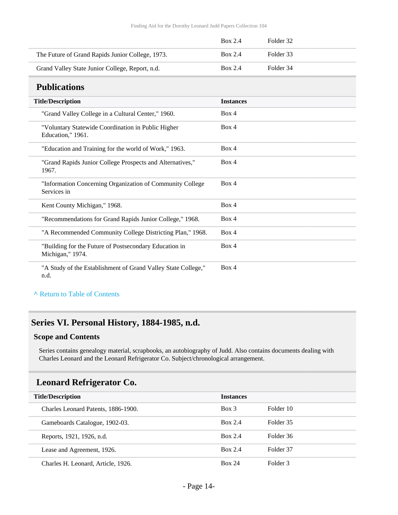|                                                  | Box 2.4 | Folder 32 |
|--------------------------------------------------|---------|-----------|
| The Future of Grand Rapids Junior College, 1973. | Box 2.4 | Folder 33 |
| Grand Valley State Junior College, Report, n.d.  | Box 2.4 | Folder 34 |

### <span id="page-13-0"></span>**Publications**

| <b>Title/Description</b>                                                   | <b>Instances</b> |
|----------------------------------------------------------------------------|------------------|
| "Grand Valley College in a Cultural Center," 1960.                         | Box 4            |
| "Voluntary Statewide Coordination in Public Higher<br>Education," 1961.    | Box 4            |
| "Education and Training for the world of Work," 1963.                      | Box 4            |
| "Grand Rapids Junior College Prospects and Alternatives,"<br>1967.         | Box 4            |
| "Information Concerning Organization of Community College<br>Services in   | Box 4            |
| Kent County Michigan," 1968.                                               | Box 4            |
| "Recommendations for Grand Rapids Junior College," 1968.                   | Box 4            |
| "A Recommended Community College Districting Plan," 1968.                  | Box 4            |
| "Building for the Future of Postsecondary Education in<br>Michigan," 1974. | Box 4            |
| "A Study of the Establishment of Grand Valley State College,"<br>n.d.      | Box 4            |

#### **^** [Return to Table of Contents](#page-1-0)

### <span id="page-13-1"></span>**Series VI. Personal History, 1884-1985, n.d.**

#### **Scope and Contents**

Series contains genealogy material, scrapbooks, an autobiography of Judd. Also contains documents dealing with Charles Leonard and the Leonard Refrigerator Co. Subject/chronological arrangement.

### <span id="page-13-2"></span>**Leonard Refrigerator Co.**

| <b>Title/Description</b>            | <b>Instances</b> |           |
|-------------------------------------|------------------|-----------|
| Charles Leonard Patents, 1886-1900. | $Box$ 3          | Folder 10 |
| Gameboards Catalogue, 1902-03.      | Box 2.4          | Folder 35 |
| Reports, 1921, 1926, n.d.           | <b>Box 2.4</b>   | Folder 36 |
| Lease and Agreement, 1926.          | <b>Box 2.4</b>   | Folder 37 |
| Charles H. Leonard, Article, 1926.  | <b>Box 24</b>    | Folder 3  |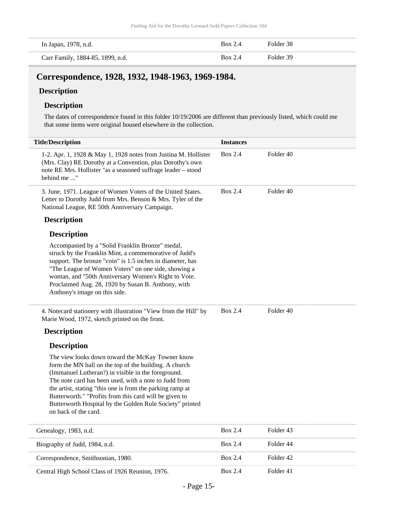| In Japan, 1978, n.d.             | Box 2.4 | Folder 38 |
|----------------------------------|---------|-----------|
| Carr Family, 1884-85, 1899, n.d. | Box 2.4 | Folder 39 |

### <span id="page-14-0"></span>**Correspondence, 1928, 1932, 1948-1963, 1969-1984.**

### **Description**

#### **Description**

The dates of correspondence found in this folder 10/19/2006 are different than previously listed, which could me that some items were original housed elsewhere in the collection.

| <b>Title/Description</b>                                                                                                                                                                                                                                                                                                                                                                                                            | <b>Instances</b> |           |
|-------------------------------------------------------------------------------------------------------------------------------------------------------------------------------------------------------------------------------------------------------------------------------------------------------------------------------------------------------------------------------------------------------------------------------------|------------------|-----------|
| 1-2. Apr. 1, 1928 & May 1, 1928 notes from Justina M. Hollister<br>(Mrs. Clay) RE Dorothy at a Convention, plus Dorothy's own<br>note RE Mrs. Hollister "as a seasoned suffrage leader - stood<br>behind me "                                                                                                                                                                                                                       | Box 2.4          | Folder 40 |
| 3. June, 1971. League of Women Voters of the United States.<br>Letter to Dorothy Judd from Mrs. Benson & Mrs. Tyler of the<br>National League, RE 50th Anniversary Campaign.                                                                                                                                                                                                                                                        | Box 2.4          | Folder 40 |
| <b>Description</b>                                                                                                                                                                                                                                                                                                                                                                                                                  |                  |           |
| <b>Description</b>                                                                                                                                                                                                                                                                                                                                                                                                                  |                  |           |
| Accompanied by a "Solid Franklin Bronze" medal,<br>struck by the Franklin Mint, a commemorative of Judd's<br>support. The bronze "coin" is 1.5 inches in diameter, has<br>"The League of Women Voters" on one side, showing a<br>woman, and "50th Anniversary Women's Right to Vote.<br>Proclaimed Aug. 28, 1920 by Susan B. Anthony, with<br>Anthony's image on this side.                                                         |                  |           |
| 4. Notecard stationery with illustration "View from the Hill" by<br>Marie Wood, 1972, sketch printed on the front.                                                                                                                                                                                                                                                                                                                  | <b>Box 2.4</b>   | Folder 40 |
| <b>Description</b>                                                                                                                                                                                                                                                                                                                                                                                                                  |                  |           |
| <b>Description</b>                                                                                                                                                                                                                                                                                                                                                                                                                  |                  |           |
| The view looks down toward the McKay Towner know<br>form the MN ball on the top of the building. A church<br>(Immanuel Lutheran?) in visible in the foreground.<br>The note card has been used, with a note to Judd from<br>the artist, stating "this one is from the parking ramp at<br>Butterworth." "Profits from this card will be given to<br>Butterworth Hospital by the Golden Rule Society" printed<br>on back of the card. |                  |           |
| Genealogy, 1983, n.d.                                                                                                                                                                                                                                                                                                                                                                                                               | Box 2.4          | Folder 43 |
| Biography of Judd, 1984, n.d.                                                                                                                                                                                                                                                                                                                                                                                                       | <b>Box 2.4</b>   | Folder 44 |
| Correspondence, Smithsonian, 1980.                                                                                                                                                                                                                                                                                                                                                                                                  | <b>Box 2.4</b>   | Folder 42 |
| Central High School Class of 1926 Reunion, 1976.                                                                                                                                                                                                                                                                                                                                                                                    | <b>Box 2.4</b>   | Folder 41 |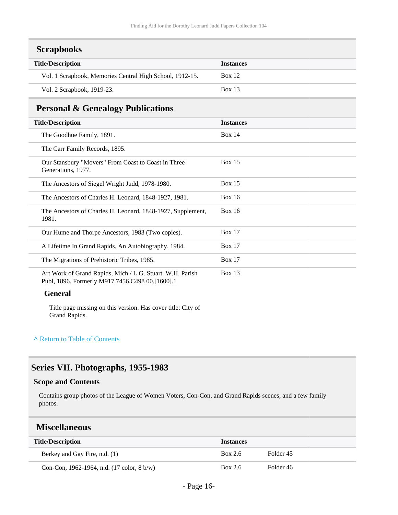<span id="page-15-0"></span>

| <b>Scrapbooks</b> |
|-------------------|
|-------------------|

| <b>Instances</b> |
|------------------|
| Box 12           |
| <b>Box 13</b>    |
|                  |

### <span id="page-15-1"></span>**Personal & Genealogy Publications**

| ÖV                                                                                                           |                  |
|--------------------------------------------------------------------------------------------------------------|------------------|
| <b>Title/Description</b>                                                                                     | <b>Instances</b> |
| The Goodhue Family, 1891.                                                                                    | Box $14$         |
| The Carr Family Records, 1895.                                                                               |                  |
| Our Stansbury "Movers" From Coast to Coast in Three<br>Generations, 1977.                                    | Box $15$         |
| The Ancestors of Siegel Wright Judd, 1978-1980.                                                              | Box $15$         |
| The Ancestors of Charles H. Leonard, 1848-1927, 1981.                                                        | Box 16           |
| The Ancestors of Charles H. Leonard, 1848-1927, Supplement,<br>1981.                                         | Box 16           |
| Our Hume and Thorpe Ancestors, 1983 (Two copies).                                                            | Box $17$         |
| A Lifetime In Grand Rapids, An Autobiography, 1984.                                                          | <b>Box 17</b>    |
| The Migrations of Prehistoric Tribes, 1985.                                                                  | Box 17           |
| Art Work of Grand Rapids, Mich / L.G. Stuart. W.H. Parish<br>Publ, 1896. Formerly M917.7456.C498 00.[1600].1 | <b>Box 13</b>    |

#### **General**

Title page missing on this version. Has cover title: City of Grand Rapids.

#### **^** [Return to Table of Contents](#page-1-0)

# <span id="page-15-2"></span>**Series VII. Photographs, 1955-1983**

#### **Scope and Contents**

Contains group photos of the League of Women Voters, Con-Con, and Grand Rapids scenes, and a few family photos.

### <span id="page-15-3"></span>**Miscellaneous**

| <b>Title/Description</b>                                     | <b>Instances</b> |           |
|--------------------------------------------------------------|------------------|-----------|
| Berkey and Gay Fire, n.d. (1)                                | Box 2.6          | Folder 45 |
| Con-Con, 1962-1964, n.d. $(17 \text{ color}, 8 \text{ b/w})$ | Box 2.6          | Folder 46 |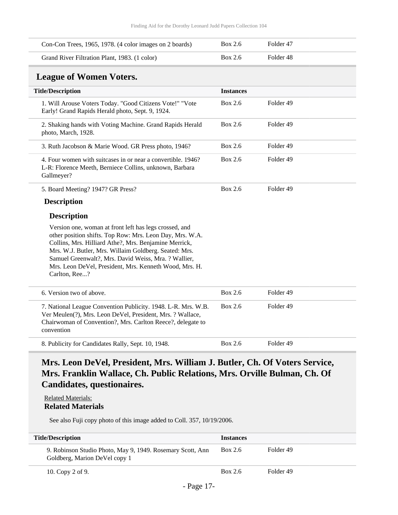<span id="page-16-0"></span>

| Con-Con Trees, 1965, 1978. (4 color images on 2 boards)                                                                                                                                                                                                                                                                                                                 | <b>Box 2.6</b>   | Folder 47 |
|-------------------------------------------------------------------------------------------------------------------------------------------------------------------------------------------------------------------------------------------------------------------------------------------------------------------------------------------------------------------------|------------------|-----------|
| Grand River Filtration Plant, 1983. (1 color)                                                                                                                                                                                                                                                                                                                           | <b>Box 2.6</b>   | Folder 48 |
| <b>League of Women Voters.</b>                                                                                                                                                                                                                                                                                                                                          |                  |           |
| <b>Title/Description</b>                                                                                                                                                                                                                                                                                                                                                | <b>Instances</b> |           |
| 1. Will Arouse Voters Today. "Good Citizens Vote!" "Vote<br>Early! Grand Rapids Herald photo, Sept. 9, 1924.                                                                                                                                                                                                                                                            | Box 2.6          | Folder 49 |
| 2. Shaking hands with Voting Machine. Grand Rapids Herald<br>photo, March, 1928.                                                                                                                                                                                                                                                                                        | <b>Box 2.6</b>   | Folder 49 |
| 3. Ruth Jacobson & Marie Wood. GR Press photo, 1946?                                                                                                                                                                                                                                                                                                                    | Box 2.6          | Folder 49 |
| 4. Four women with suitcases in or near a convertible. 1946?<br>L-R: Florence Meeth, Berniece Collins, unknown, Barbara<br>Gallmeyer?                                                                                                                                                                                                                                   | <b>Box 2.6</b>   | Folder 49 |
| 5. Board Meeting? 1947? GR Press?                                                                                                                                                                                                                                                                                                                                       | <b>Box 2.6</b>   | Folder 49 |
| <b>Description</b>                                                                                                                                                                                                                                                                                                                                                      |                  |           |
| <b>Description</b>                                                                                                                                                                                                                                                                                                                                                      |                  |           |
| Version one, woman at front left has legs crossed, and<br>other position shifts. Top Row: Mrs. Leon Day, Mrs. W.A.<br>Collins, Mrs. Hilliard Athe?, Mrs. Benjamine Merrick,<br>Mrs. W.J. Butler, Mrs. Willaim Goldberg. Seated: Mrs.<br>Samuel Greenwalt?, Mrs. David Weiss, Mra. ? Wallier,<br>Mrs. Leon DeVel, President, Mrs. Kenneth Wood, Mrs. H.<br>Carlton, Ree? |                  |           |
| 6. Version two of above.                                                                                                                                                                                                                                                                                                                                                | Box 2.6          | Folder 49 |
| 7. National League Convention Publicity. 1948. L-R. Mrs. W.B.<br>Ver Meulen(?), Mrs. Leon DeVel, President, Mrs. ? Wallace,<br>Chairwoman of Convention?, Mrs. Carlton Reece?, delegate to<br>convention                                                                                                                                                                | Box 2.6          | Folder 49 |
| 8. Publicity for Candidates Rally, Sept. 10, 1948.                                                                                                                                                                                                                                                                                                                      | <b>Box 2.6</b>   | Folder 49 |

### **Mrs. Leon DeVel, President, Mrs. William J. Butler, Ch. Of Voters Service, Mrs. Franklin Wallace, Ch. Public Relations, Mrs. Orville Bulman, Ch. Of Candidates, questionaires.**

Related Materials: **Related Materials**

See also Fuji copy photo of this image added to Coll. 357, 10/19/2006.

| <b>Title/Description</b>                                                                    | <b>Instances</b> |           |
|---------------------------------------------------------------------------------------------|------------------|-----------|
| 9. Robinson Studio Photo, May 9, 1949. Rosemary Scott, Ann<br>Goldberg, Marion DeVel copy 1 | Box 2.6          | Folder 49 |
| 10. Copy 2 of 9.                                                                            | Box 2.6          | Folder 49 |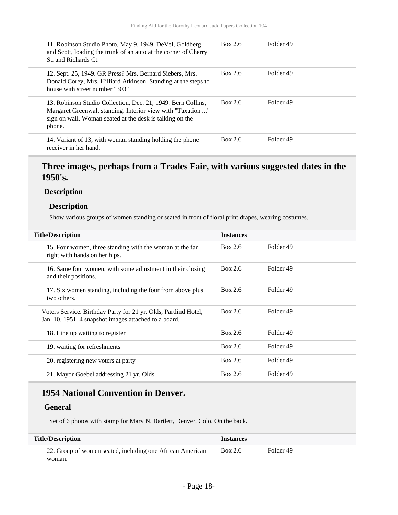| 11. Robinson Studio Photo, May 9, 1949. DeVel, Goldberg<br>and Scott, loading the trunk of an auto at the corner of Cherry<br>St. and Richards Ct.                                                | Box 2.6 | Folder 49 |
|---------------------------------------------------------------------------------------------------------------------------------------------------------------------------------------------------|---------|-----------|
| 12. Sept. 25, 1949. GR Press? Mrs. Bernard Siebers, Mrs.<br>Donald Corey, Mrs. Hilliard Atkinson. Standing at the steps to<br>house with street number "303"                                      | Box 2.6 | Folder 49 |
| 13. Robinson Studio Collection, Dec. 21, 1949. Bern Collins,<br>Margaret Greenwalt standing. Interior view with "Taxation "<br>sign on wall. Woman seated at the desk is talking on the<br>phone. | Box 2.6 | Folder 49 |
| 14. Variant of 13, with woman standing holding the phone<br>receiver in her hand.                                                                                                                 | Box 2.6 | Folder 49 |

### **Three images, perhaps from a Trades Fair, with various suggested dates in the 1950's.**

#### **Description**

#### **Description**

Show various groups of women standing or seated in front of floral print drapes, wearing costumes.

| <b>Title/Description</b>                                                                                                 | <b>Instances</b> |           |
|--------------------------------------------------------------------------------------------------------------------------|------------------|-----------|
| 15. Four women, three standing with the woman at the far<br>right with hands on her hips.                                | Box 2.6          | Folder 49 |
| 16. Same four women, with some adjustment in their closing<br>and their positions.                                       | Box 2.6          | Folder 49 |
| 17. Six women standing, including the four from above plus<br>two others.                                                | Box 2.6          | Folder 49 |
| Voters Service. Birthday Party for 21 yr. Olds, Partlind Hotel,<br>Jan. 10, 1951. 4 snapshot images attached to a board. | Box 2.6          | Folder 49 |
| 18. Line up waiting to register                                                                                          | Box 2.6          | Folder 49 |
| 19. waiting for refreshments                                                                                             | Box 2.6          | Folder 49 |
| 20. registering new voters at party                                                                                      | Box 2.6          | Folder 49 |
| 21. Mayor Goebel addressing 21 yr. Olds                                                                                  | Box 2.6          | Folder 49 |

### **1954 National Convention in Denver.**

#### **General**

Set of 6 photos with stamp for Mary N. Bartlett, Denver, Colo. On the back.

| <b>Title/Description</b>                                  | <b>Instances</b> |           |  |
|-----------------------------------------------------------|------------------|-----------|--|
| 22. Group of women seated, including one African American | Box 2.6          | Folder 49 |  |
| woman.                                                    |                  |           |  |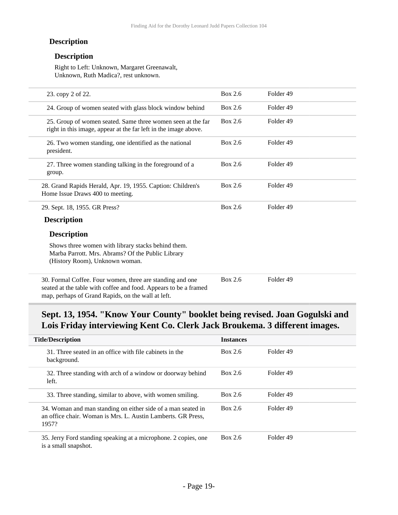#### **Description**

#### **Description**

Right to Left: Unknown, Margaret Greenawalt, Unknown, Ruth Madica?, rest unknown.

| 23. copy 2 of 22.                                                                                                                                                                   | <b>Box 2.6</b> | Folder 49 |  |
|-------------------------------------------------------------------------------------------------------------------------------------------------------------------------------------|----------------|-----------|--|
| 24. Group of women seated with glass block window behind                                                                                                                            | Box 2.6        | Folder 49 |  |
| 25. Group of women seated. Same three women seen at the far<br>right in this image, appear at the far left in the image above.                                                      | Box 2.6        | Folder 49 |  |
| 26. Two women standing, one identified as the national<br>president.                                                                                                                | <b>Box 2.6</b> | Folder 49 |  |
| 27. Three women standing talking in the foreground of a<br>group.                                                                                                                   | Box 2.6        | Folder 49 |  |
| 28. Grand Rapids Herald, Apr. 19, 1955. Caption: Children's<br>Home Issue Draws 400 to meeting.                                                                                     | Box 2.6        | Folder 49 |  |
| 29. Sept. 18, 1955. GR Press?                                                                                                                                                       | Box 2.6        | Folder 49 |  |
| <b>Description</b>                                                                                                                                                                  |                |           |  |
| <b>Description</b>                                                                                                                                                                  |                |           |  |
| Shows three women with library stacks behind them.<br>Marba Parrott. Mrs. Abrams? Of the Public Library<br>(History Room), Unknown woman.                                           |                |           |  |
| 30. Formal Coffee. Four women, three are standing and one<br>seated at the table with coffee and food. Appears to be a framed<br>map, perhaps of Grand Rapids, on the wall at left. | Box 2.6        | Folder 49 |  |

### **Sept. 13, 1954. "Know Your County" booklet being revised. Joan Gogulski and Lois Friday interviewing Kent Co. Clerk Jack Broukema. 3 different images.**

| <b>Title/Description</b>                                                                                                              | <b>Instances</b> |           |
|---------------------------------------------------------------------------------------------------------------------------------------|------------------|-----------|
| 31. Three seated in an office with file cabinets in the<br>background.                                                                | Box 2.6          | Folder 49 |
| 32. Three standing with arch of a window or doorway behind<br>left.                                                                   | Box 2.6          | Folder 49 |
| 33. Three standing, similar to above, with women smiling.                                                                             | Box $2.6$        | Folder 49 |
| 34. Woman and man standing on either side of a man seated in<br>an office chair. Woman is Mrs. L. Austin Lamberts. GR Press,<br>1957? | Box 2.6          | Folder 49 |
| 35. Jerry Ford standing speaking at a microphone. 2 copies, one<br>is a small snapshot.                                               | Box 2.6          | Folder 49 |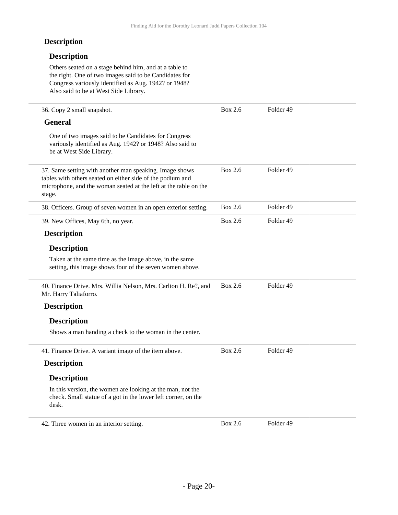#### **Description**

#### **Description**

Others seated on a stage behind him, and at a table to the right. One of two images said to be Candidates for Congress variously identified as Aug. 1942? or 1948? Also said to be at West Side Library.

| 36. Copy 2 small snapshot.                                                                                                                                                                          | Box 2.6        | Folder <sub>49</sub> |
|-----------------------------------------------------------------------------------------------------------------------------------------------------------------------------------------------------|----------------|----------------------|
| <b>General</b>                                                                                                                                                                                      |                |                      |
| One of two images said to be Candidates for Congress<br>variously identified as Aug. 1942? or 1948? Also said to<br>be at West Side Library.                                                        |                |                      |
| 37. Same setting with another man speaking. Image shows<br>tables with others seated on either side of the podium and<br>microphone, and the woman seated at the left at the table on the<br>stage. | Box 2.6        | Folder <sub>49</sub> |
| 38. Officers. Group of seven women in an open exterior setting.                                                                                                                                     | <b>Box 2.6</b> | Folder <sub>49</sub> |
| 39. New Offices, May 6th, no year.                                                                                                                                                                  | Box 2.6        | Folder 49            |
| <b>Description</b>                                                                                                                                                                                  |                |                      |
| <b>Description</b>                                                                                                                                                                                  |                |                      |
| Taken at the same time as the image above, in the same<br>setting, this image shows four of the seven women above.                                                                                  |                |                      |
| 40. Finance Drive. Mrs. Willia Nelson, Mrs. Carlton H. Re?, and<br>Mr. Harry Taliaforro.                                                                                                            | Box 2.6        | Folder 49            |
| <b>Description</b>                                                                                                                                                                                  |                |                      |
| <b>Description</b>                                                                                                                                                                                  |                |                      |
| Shows a man handing a check to the woman in the center.                                                                                                                                             |                |                      |
| 41. Finance Drive. A variant image of the item above.                                                                                                                                               | Box 2.6        | Folder 49            |
| <b>Description</b>                                                                                                                                                                                  |                |                      |
| <b>Description</b>                                                                                                                                                                                  |                |                      |
| In this version, the women are looking at the man, not the<br>check. Small statue of a got in the lower left corner, on the<br>desk.                                                                |                |                      |
| 42. Three women in an interior setting.                                                                                                                                                             | <b>Box 2.6</b> | Folder 49            |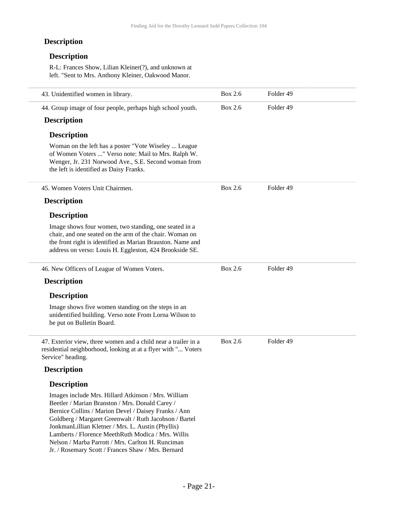### **Description**

#### **Description**

R-L: Frances Show, Lilian Kleiner(?), and unknown at left. "Sent to Mrs. Anthony Kleiner, Oakwood Manor.

|                                                                                                                                                                                                                                                                                                                                                                                                                                                |                | Folder 49 |
|------------------------------------------------------------------------------------------------------------------------------------------------------------------------------------------------------------------------------------------------------------------------------------------------------------------------------------------------------------------------------------------------------------------------------------------------|----------------|-----------|
| 43. Unidentified women in library.                                                                                                                                                                                                                                                                                                                                                                                                             | Box 2.6        |           |
| 44. Group image of four people, perhaps high school youth.                                                                                                                                                                                                                                                                                                                                                                                     | <b>Box 2.6</b> | Folder 49 |
| <b>Description</b>                                                                                                                                                                                                                                                                                                                                                                                                                             |                |           |
| <b>Description</b>                                                                                                                                                                                                                                                                                                                                                                                                                             |                |           |
| Woman on the left has a poster "Vote Wiseley  League<br>of Women Voters " Verso note: Mail to Mrs. Ralph W.<br>Wenger, Jr. 231 Norwood Ave., S.E. Second woman from<br>the left is identified as Daisy Franks.                                                                                                                                                                                                                                 |                |           |
| 45. Women Voters Unit Chairmen.                                                                                                                                                                                                                                                                                                                                                                                                                | <b>Box 2.6</b> | Folder 49 |
| <b>Description</b>                                                                                                                                                                                                                                                                                                                                                                                                                             |                |           |
| <b>Description</b>                                                                                                                                                                                                                                                                                                                                                                                                                             |                |           |
| Image shows four women, two standing, one seated in a<br>chair, and one seated on the arm of the chair. Woman on<br>the front right is identified as Marian Brauston. Name and<br>address on verso: Louis H. Eggleston, 424 Brookside SE.                                                                                                                                                                                                      |                |           |
| 46. New Officers of League of Women Voters.                                                                                                                                                                                                                                                                                                                                                                                                    | Box 2.6        | Folder 49 |
| <b>Description</b>                                                                                                                                                                                                                                                                                                                                                                                                                             |                |           |
| <b>Description</b>                                                                                                                                                                                                                                                                                                                                                                                                                             |                |           |
| Image shows five women standing on the steps in an<br>unidentified building. Verso note From Lorna Wilson to<br>be put on Bulletin Board.                                                                                                                                                                                                                                                                                                      |                |           |
| 47. Exterior view, three women and a child near a trailer in a<br>residential neighborhood, looking at at a flyer with " Voters<br>Service" heading.                                                                                                                                                                                                                                                                                           | Box 2.6        | Folder 49 |
| <b>Description</b>                                                                                                                                                                                                                                                                                                                                                                                                                             |                |           |
| <b>Description</b>                                                                                                                                                                                                                                                                                                                                                                                                                             |                |           |
| Images include Mrs. Hillard Atkinson / Mrs. William<br>Beetler / Marian Branston / Mrs. Donald Carey /<br>Bernice Collins / Marion Devel / Daisey Franks / Ann<br>Goldberg / Margaret Greenwalt / Ruth Jacobson / Bartel<br>JonkmanLillian Kletner / Mrs. L. Austin (Phyllis)<br>Lamberts / Florence MeethRuth Modica / Mrs. Willis<br>Nelson / Marba Parrott / Mrs. Carlton H. Runciman<br>Jr. / Rosemary Scott / Frances Shaw / Mrs. Bernard |                |           |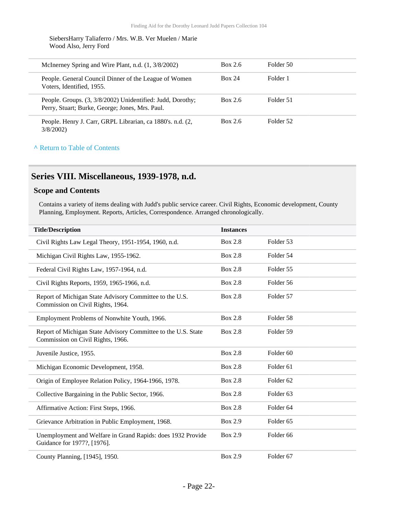SiebersHarry Taliaferro / Mrs. W.B. Ver Muelen / Marie Wood Also, Jerry Ford

| McInerney Spring and Wire Plant, n.d. (1, 3/8/2002)                                                           | Box 2.6       | Folder 50 |  |
|---------------------------------------------------------------------------------------------------------------|---------------|-----------|--|
| People. General Council Dinner of the League of Women<br>Voters, Identified, 1955.                            | <b>Box 24</b> | Folder 1  |  |
| People. Groups. (3, 3/8/2002) Unidentified: Judd, Dorothy;<br>Perry, Stuart; Burke, George; Jones, Mrs. Paul. | Box 2.6       | Folder 51 |  |
| People. Henry J. Carr, GRPL Librarian, ca 1880's. n.d. (2,<br>3/8/2002                                        | Box 2.6       | Folder 52 |  |

#### **^** [Return to Table of Contents](#page-1-0)

### <span id="page-21-0"></span>**Series VIII. Miscellaneous, 1939-1978, n.d.**

#### **Scope and Contents**

Contains a variety of items dealing with Judd's public service career. Civil Rights, Economic development, County Planning, Employment. Reports, Articles, Correspondence. Arranged chronologically.

| <b>Title/Description</b>                                                                           | <b>Instances</b> |                      |  |
|----------------------------------------------------------------------------------------------------|------------------|----------------------|--|
| Civil Rights Law Legal Theory, 1951-1954, 1960, n.d.                                               | <b>Box 2.8</b>   | Folder 53            |  |
| Michigan Civil Rights Law, 1955-1962.                                                              | <b>Box 2.8</b>   | Folder 54            |  |
| Federal Civil Rights Law, 1957-1964, n.d.                                                          | <b>Box 2.8</b>   | Folder 55            |  |
| Civil Rights Reports, 1959, 1965-1966, n.d.                                                        | <b>Box 2.8</b>   | Folder 56            |  |
| Report of Michigan State Advisory Committee to the U.S.<br>Commission on Civil Rights, 1964.       | <b>Box 2.8</b>   | Folder 57            |  |
| Employment Problems of Nonwhite Youth, 1966.                                                       | <b>Box 2.8</b>   | Folder 58            |  |
| Report of Michigan State Advisory Committee to the U.S. State<br>Commission on Civil Rights, 1966. | <b>Box 2.8</b>   | Folder 59            |  |
| Juvenile Justice, 1955.                                                                            | <b>Box 2.8</b>   | Folder <sub>60</sub> |  |
| Michigan Economic Development, 1958.                                                               | <b>Box 2.8</b>   | Folder <sub>61</sub> |  |
| Origin of Employee Relation Policy, 1964-1966, 1978.                                               | Box 2.8          | Folder <sub>62</sub> |  |
| Collective Bargaining in the Public Sector, 1966.                                                  | <b>Box 2.8</b>   | Folder <sub>63</sub> |  |
| Affirmative Action: First Steps, 1966.                                                             | <b>Box 2.8</b>   | Folder <sub>64</sub> |  |
| Grievance Arbitration in Public Employment, 1968.                                                  | Box 2.9          | Folder <sub>65</sub> |  |
| Unemployment and Welfare in Grand Rapids: does 1932 Provide<br>Guidance for 1977?, [1976].         | <b>Box 2.9</b>   | Folder <sub>66</sub> |  |
| County Planning, [1945], 1950.                                                                     | Box 2.9          | Folder <sub>67</sub> |  |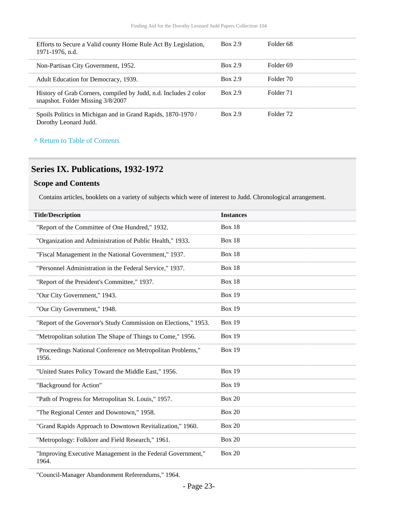| Efforts to Secure a Valid county Home Rule Act By Legislation,<br>1971-1976, n.d.                     | <b>Box 2.9</b> | Folder <sub>68</sub> |
|-------------------------------------------------------------------------------------------------------|----------------|----------------------|
| Non-Partisan City Government, 1952.                                                                   | <b>Box 2.9</b> | Folder <sub>69</sub> |
| Adult Education for Democracy, 1939.                                                                  | Box 2.9        | Folder 70            |
| History of Grab Corners, compiled by Judd, n.d. Includes 2 color<br>snapshot. Folder Missing 3/8/2007 | Box 2.9        | Folder 71            |
| Spoils Politics in Michigan and in Grand Rapids, 1870-1970/<br>Dorothy Leonard Judd.                  | Box 2.9        | Folder 72            |

# <span id="page-22-0"></span>**Series IX. Publications, 1932-1972**

#### **Scope and Contents**

Contains articles, booklets on a variety of subjects which were of interest to Judd. Chronological arrangement.

| <b>Title/Description</b>                                             | <b>Instances</b> |
|----------------------------------------------------------------------|------------------|
| "Report of the Committee of One Hundred," 1932.                      | Box 18           |
| "Organization and Administration of Public Health," 1933.            | Box 18           |
| "Fiscal Management in the National Government," 1937.                | Box 18           |
| "Personnel Administration in the Federal Service," 1937.             | Box 18           |
| "Report of the President's Committee," 1937.                         | <b>Box 18</b>    |
| "Our City Government," 1943.                                         | <b>Box 19</b>    |
| "Our City Government," 1948.                                         | <b>Box 19</b>    |
| "Report of the Governor's Study Commission on Elections," 1953.      | <b>Box 19</b>    |
| "Metropolitan solution The Shape of Things to Come," 1956.           | <b>Box 19</b>    |
| "Proceedings National Conference on Metropolitan Problems,"<br>1956. | <b>Box 19</b>    |
| "United States Policy Toward the Middle East," 1956.                 | <b>Box 19</b>    |
| "Background for Action"                                              | <b>Box 19</b>    |
| "Path of Progress for Metropolitan St. Louis," 1957.                 | <b>Box 20</b>    |
| "The Regional Center and Downtown," 1958.                            | <b>Box 20</b>    |
| "Grand Rapids Approach to Downtown Revitalization," 1960.            | <b>Box 20</b>    |
| "Metropology: Folklore and Field Research," 1961.                    | <b>Box 20</b>    |
| "Improving Executive Management in the Federal Government,"<br>1964. | <b>Box 20</b>    |

"Council-Manager Abandonment Referendums," 1964.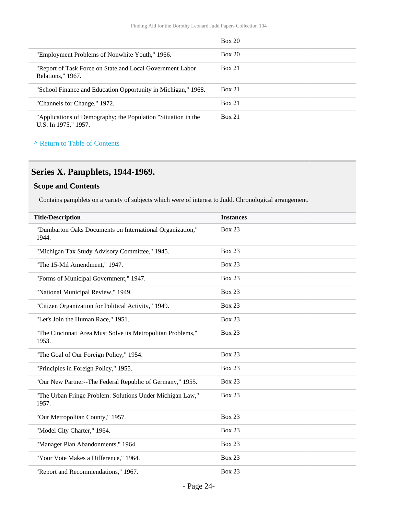|                                                                                       | Box 20        |
|---------------------------------------------------------------------------------------|---------------|
| "Employment Problems of Nonwhite Youth," 1966.                                        | Box 20        |
| "Report of Task Force on State and Local Government Labor<br>Relations," 1967.        | <b>Box 21</b> |
| "School Finance and Education Opportunity in Michigan," 1968.                         | <b>Box 21</b> |
| "Channels for Change," 1972.                                                          | Box 21        |
| "Applications of Demography; the Population "Situation in the<br>U.S. In 1975," 1957. | <b>Box 21</b> |

### <span id="page-23-0"></span>**Series X. Pamphlets, 1944-1969.**

#### **Scope and Contents**

Contains pamphlets on a variety of subjects which were of interest to Judd. Chronological arrangement.

| <b>Title/Description</b>                                             | <b>Instances</b> |
|----------------------------------------------------------------------|------------------|
| "Dumbarton Oaks Documents on International Organization,"<br>1944.   | <b>Box 23</b>    |
| "Michigan Tax Study Advisory Committee," 1945.                       | <b>Box 23</b>    |
| "The 15-Mil Amendment," 1947.                                        | <b>Box 23</b>    |
| "Forms of Municipal Government," 1947.                               | <b>Box 23</b>    |
| "National Municipal Review," 1949.                                   | <b>Box 23</b>    |
| "Citizen Organization for Political Activity," 1949.                 | <b>Box 23</b>    |
| "Let's Join the Human Race," 1951.                                   | <b>Box 23</b>    |
| "The Cincinnati Area Must Solve its Metropolitan Problems,"<br>1953. | <b>Box 23</b>    |
| "The Goal of Our Foreign Policy," 1954.                              | <b>Box 23</b>    |
| "Principles in Foreign Policy," 1955.                                | <b>Box 23</b>    |
| "Our New Partner--The Federal Republic of Germany," 1955.            | <b>Box 23</b>    |
| "The Urban Fringe Problem: Solutions Under Michigan Law,"<br>1957.   | <b>Box 23</b>    |
| "Our Metropolitan County," 1957.                                     | <b>Box 23</b>    |
| "Model City Charter," 1964.                                          | <b>Box 23</b>    |
| "Manager Plan Abandonments," 1964.                                   | <b>Box 23</b>    |
| "Your Vote Makes a Difference," 1964.                                | <b>Box 23</b>    |
| "Report and Recommendations," 1967.                                  | <b>Box 23</b>    |